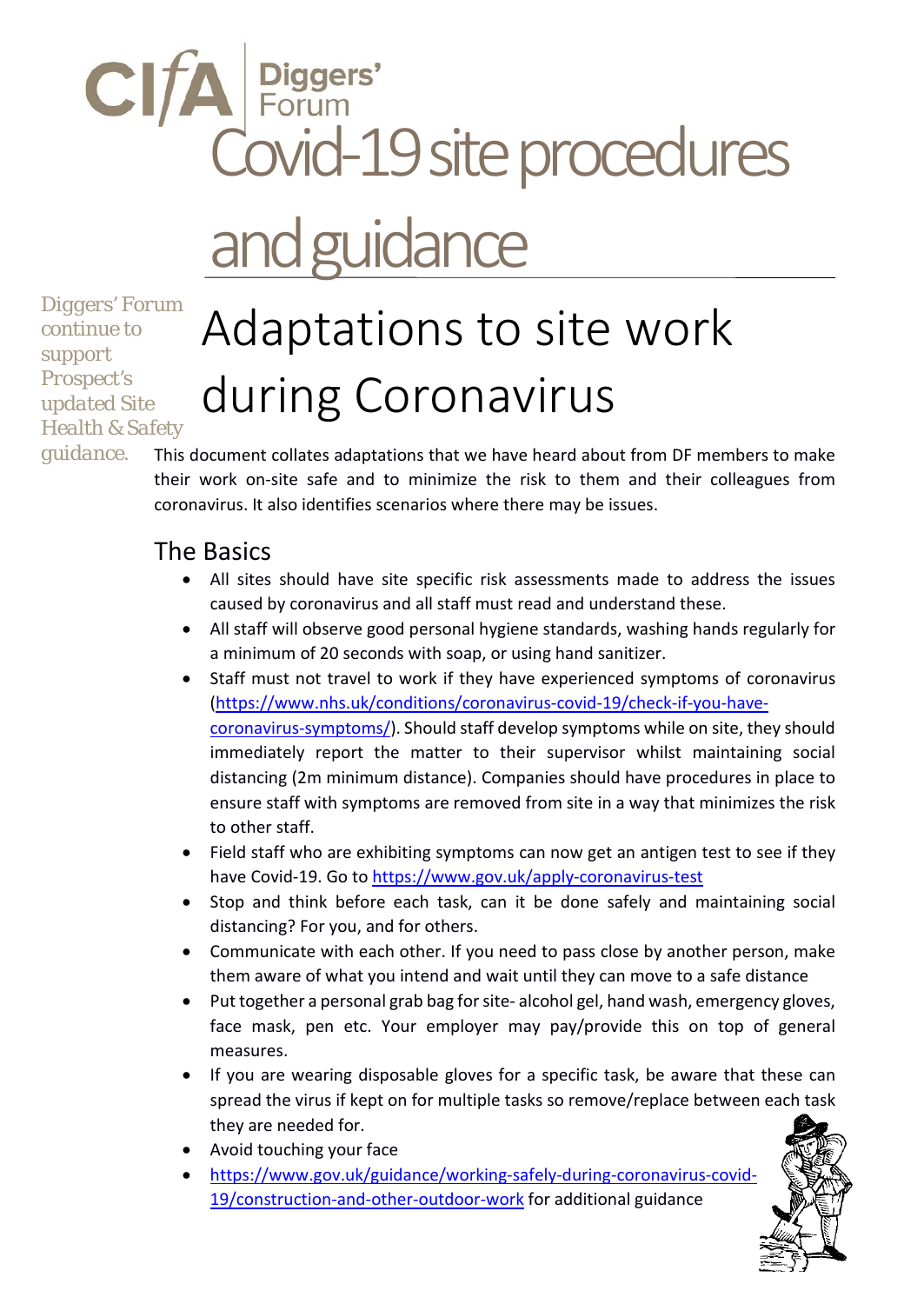# CIFA Piggers'<br>Covid-19 site procedures Diggers' and guidance

*Diggers' Forum continue to support Prospect's updated Site Health & Safety* 

## Adaptations to site work during Coronavirus

*guidance.*

This document collates adaptations that we have heard about from DF members to make their work on-site safe and to minimize the risk to them and their colleagues from coronavirus. It also identifies scenarios where there may be issues.

#### The Basics

- All sites should have site specific risk assessments made to address the issues caused by coronavirus and all staff must read and understand these.
- All staff will observe good personal hygiene standards, washing hands regularly for a minimum of 20 seconds with soap, or using hand sanitizer.
- Staff must not travel to work if they have experienced symptoms of coronavirus [\(https://www.nhs.uk/conditions/coronavirus-covid-19/check-if-you-have](https://www.nhs.uk/conditions/coronavirus-covid-19/check-if-you-have-coronavirus-symptoms/)[coronavirus-symptoms/\)](https://www.nhs.uk/conditions/coronavirus-covid-19/check-if-you-have-coronavirus-symptoms/). Should staff develop symptoms while on site, they should immediately report the matter to their supervisor whilst maintaining social distancing (2m minimum distance). Companies should have procedures in place to ensure staff with symptoms are removed from site in a way that minimizes the risk to other staff.
- Field staff who are exhibiting symptoms can now get an antigen test to see if they have Covid-19. Go to<https://www.gov.uk/apply-coronavirus-test>
- Stop and think before each task, can it be done safely and maintaining social distancing? For you, and for others.
- Communicate with each other. If you need to pass close by another person, make them aware of what you intend and wait until they can move to a safe distance
- Put together a personal grab bag for site- alcohol gel, hand wash, emergency gloves, face mask, pen etc. Your employer may pay/provide this on top of general measures.
- If you are wearing disposable gloves for a specific task, be aware that these can spread the virus if kept on for multiple tasks so remove/replace between each task they are needed for.
- Avoid touching your face
- [https://www.gov.uk/guidance/working-safely-during-coronavirus-covid-](https://www.gov.uk/guidance/working-safely-during-coronavirus-covid-19/construction-and-other-outdoor-work)[19/construction-and-other-outdoor-work](https://www.gov.uk/guidance/working-safely-during-coronavirus-covid-19/construction-and-other-outdoor-work) for additional guidance

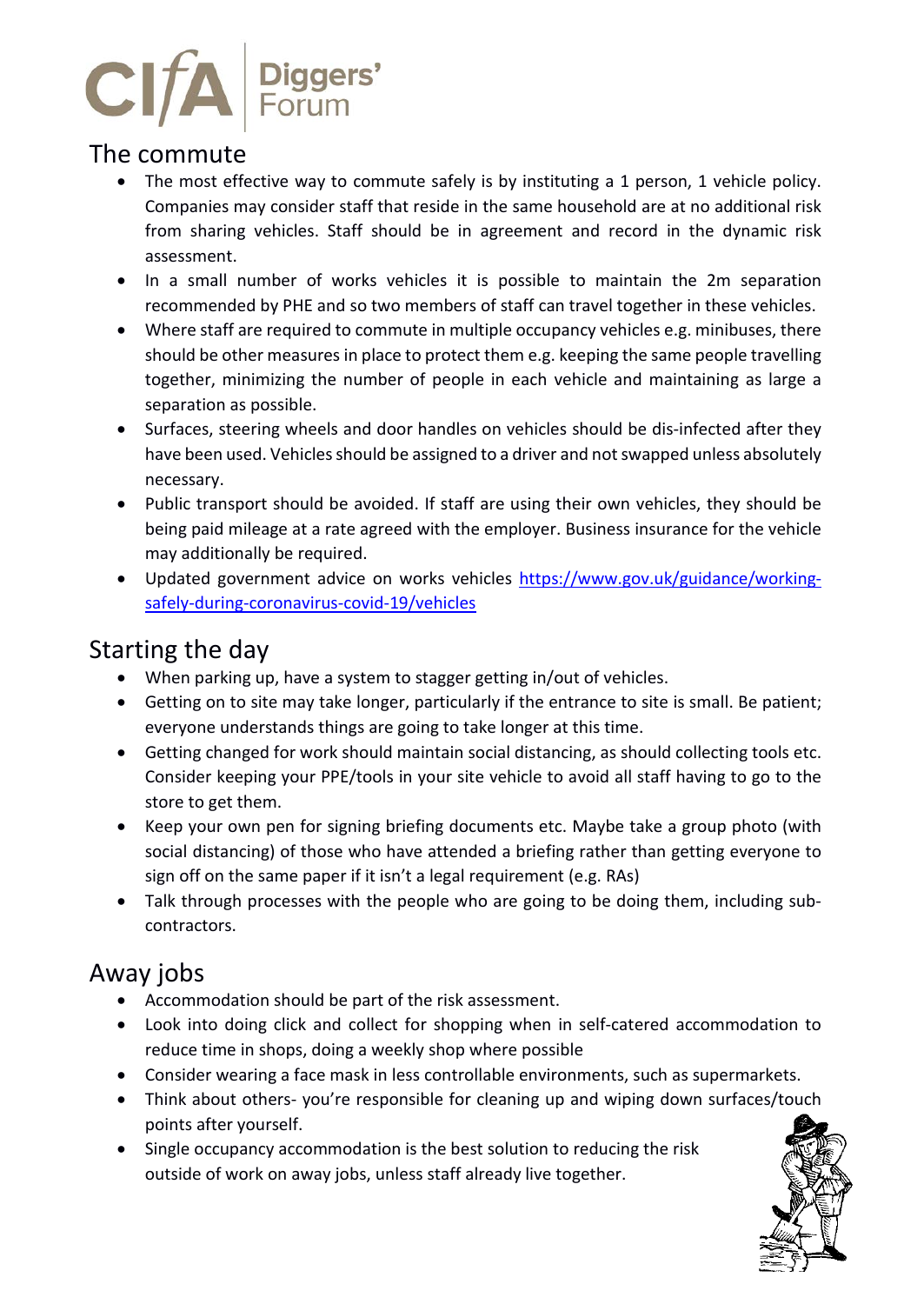

#### The commute

- The most effective way to commute safely is by instituting a 1 person, 1 vehicle policy. Companies may consider staff that reside in the same household are at no additional risk from sharing vehicles. Staff should be in agreement and record in the dynamic risk assessment.
- In a small number of works vehicles it is possible to maintain the 2m separation recommended by PHE and so two members of staff can travel together in these vehicles.
- Where staff are required to commute in multiple occupancy vehicles e.g. minibuses, there should be other measures in place to protect them e.g. keeping the same people travelling together, minimizing the number of people in each vehicle and maintaining as large a separation as possible.
- Surfaces, steering wheels and door handles on vehicles should be dis-infected after they have been used. Vehicles should be assigned to a driver and not swapped unless absolutely necessary.
- Public transport should be avoided. If staff are using their own vehicles, they should be being paid mileage at a rate agreed with the employer. Business insurance for the vehicle may additionally be required.
- Updated government advice on works vehicles [https://www.gov.uk/guidance/working](https://www.gov.uk/guidance/working-safely-during-coronavirus-covid-19/vehicles)[safely-during-coronavirus-covid-19/vehicles](https://www.gov.uk/guidance/working-safely-during-coronavirus-covid-19/vehicles)

#### Starting the day

- When parking up, have a system to stagger getting in/out of vehicles.
- Getting on to site may take longer, particularly if the entrance to site is small. Be patient; everyone understands things are going to take longer at this time.
- Getting changed for work should maintain social distancing, as should collecting tools etc. Consider keeping your PPE/tools in your site vehicle to avoid all staff having to go to the store to get them.
- Keep your own pen for signing briefing documents etc. Maybe take a group photo (with social distancing) of those who have attended a briefing rather than getting everyone to sign off on the same paper if it isn't a legal requirement (e.g. RAs)
- Talk through processes with the people who are going to be doing them, including subcontractors.

#### Away jobs

- Accommodation should be part of the risk assessment.
- Look into doing click and collect for shopping when in self-catered accommodation to reduce time in shops, doing a weekly shop where possible
- Consider wearing a face mask in less controllable environments, such as supermarkets.
- Think about others- you're responsible for cleaning up and wiping down surfaces/touch points after yourself.
- Single occupancy accommodation is the best solution to reducing the risk outside of work on away jobs, unless staff already live together.

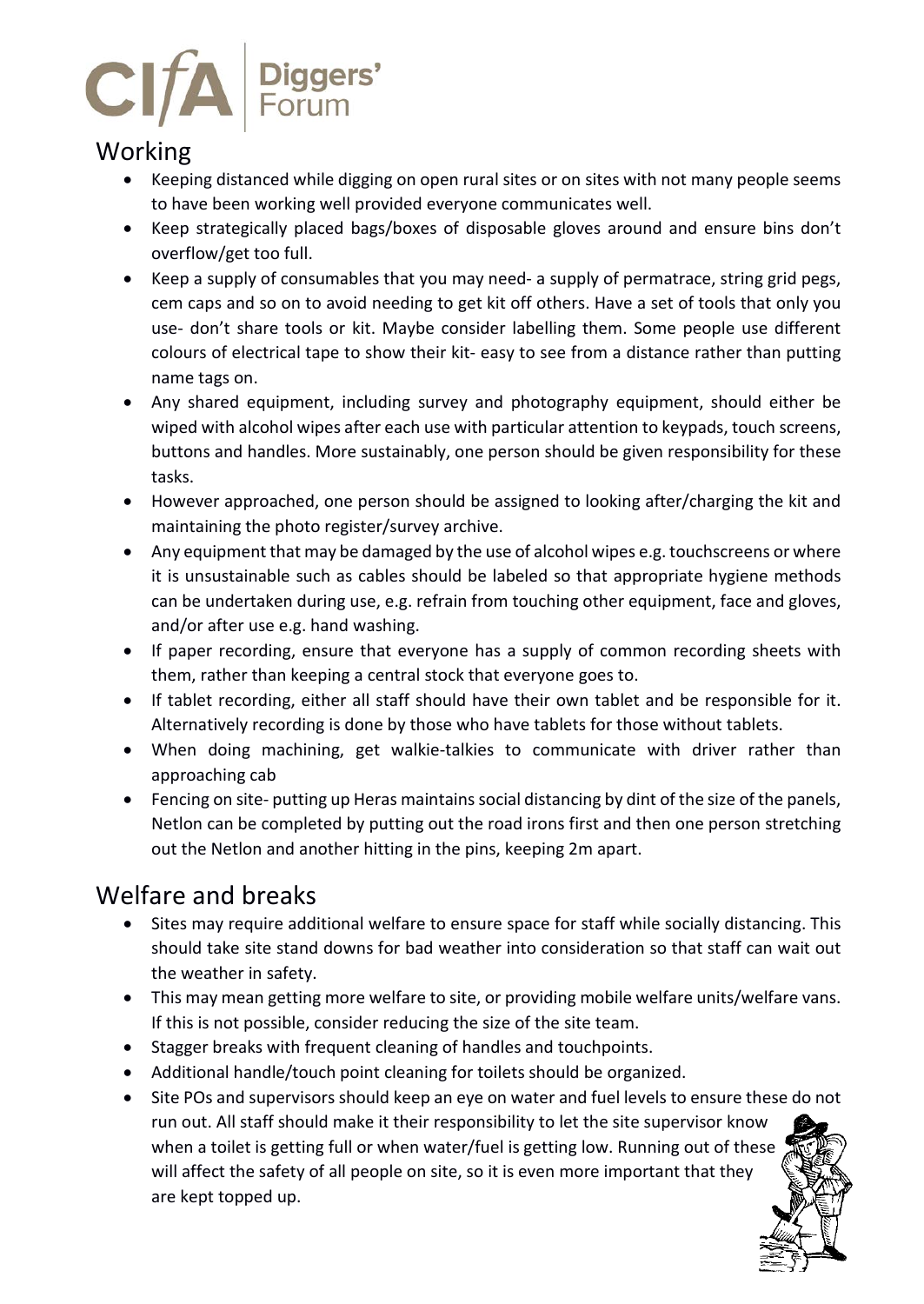

#### Working

- Keeping distanced while digging on open rural sites or on sites with not many people seems to have been working well provided everyone communicates well.
- Keep strategically placed bags/boxes of disposable gloves around and ensure bins don't overflow/get too full.
- Keep a supply of consumables that you may need- a supply of permatrace, string grid pegs, cem caps and so on to avoid needing to get kit off others. Have a set of tools that only you use- don't share tools or kit. Maybe consider labelling them. Some people use different colours of electrical tape to show their kit- easy to see from a distance rather than putting name tags on.
- Any shared equipment, including survey and photography equipment, should either be wiped with alcohol wipes after each use with particular attention to keypads, touch screens, buttons and handles. More sustainably, one person should be given responsibility for these tasks.
- However approached, one person should be assigned to looking after/charging the kit and maintaining the photo register/survey archive.
- Any equipment that may be damaged by the use of alcohol wipes e.g. touchscreens or where it is unsustainable such as cables should be labeled so that appropriate hygiene methods can be undertaken during use, e.g. refrain from touching other equipment, face and gloves, and/or after use e.g. hand washing.
- If paper recording, ensure that everyone has a supply of common recording sheets with them, rather than keeping a central stock that everyone goes to.
- If tablet recording, either all staff should have their own tablet and be responsible for it. Alternatively recording is done by those who have tablets for those without tablets.
- When doing machining, get walkie-talkies to communicate with driver rather than approaching cab
- Fencing on site- putting up Heras maintains social distancing by dint of the size of the panels, Netlon can be completed by putting out the road irons first and then one person stretching out the Netlon and another hitting in the pins, keeping 2m apart.

#### Welfare and breaks

- Sites may require additional welfare to ensure space for staff while socially distancing. This should take site stand downs for bad weather into consideration so that staff can wait out the weather in safety.
- This may mean getting more welfare to site, or providing mobile welfare units/welfare vans. If this is not possible, consider reducing the size of the site team.
- Stagger breaks with frequent cleaning of handles and touchpoints.
- Additional handle/touch point cleaning for toilets should be organized.
- Site POs and supervisors should keep an eye on water and fuel levels to ensure these do not run out. All staff should make it their responsibility to let the site supervisor know when a toilet is getting full or when water/fuel is getting low. Running out of these will affect the safety of all people on site, so it is even more important that they are kept topped up.